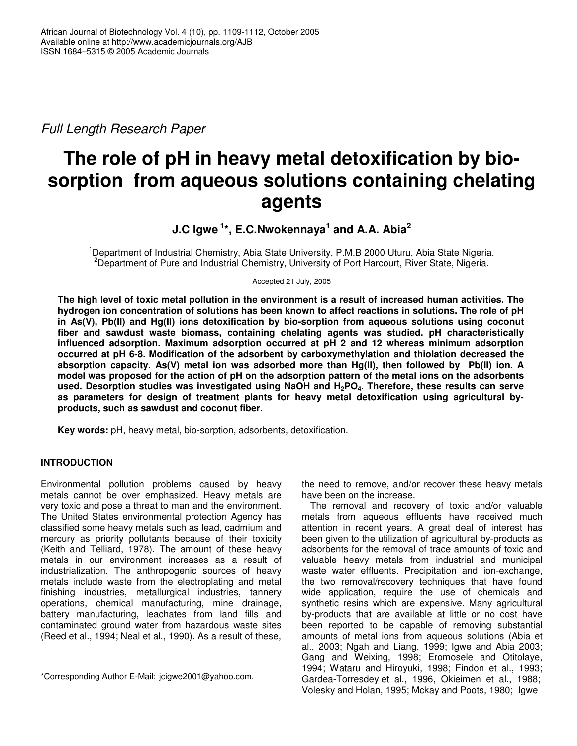*Full Length Research Paper*

# **The role of pH in heavy metal detoxification by biosorption from aqueous solutions containing chelating agents**

**J.C Igwe 1 \*, E.C.Nwokennaya 1 and A.A. Abia 2**

<sup>1</sup>Department of Industrial Chemistry, Abia State University, P.M.B 2000 Uturu, Abia State Nigeria. <sup>2</sup>Department of Pure and Industrial Chemistry, University of Port Harcourt, River State, Nigeria.

Accepted 21 July, 2005

The high level of toxic metal pollution in the environment is a result of increased human activities. The **hydrogen ion concentration of solutions has been known to affect reactions in solutions. The role of pH in As(V), Pb(II) and Hg(II) ions detoxification by bio-sorption from aqueous solutions using coconut fiber and sawdust waste biomass, containing chelating agents was studied. pH characteristically influenced adsorption. Maximum adsorption occurred at pH 2 and 12 whereas minimum adsorption occurred at pH 6-8. Modification of the adsorbent by carboxymethylation and thiolation decreased the absorption capacity. As(V) metal ion was adsorbed more than Hg(II), then followed by Pb(II) ion. A** model was proposed for the action of pH on the adsorption pattern of the metal ions on the adsorbents **used. Desorption studies was investigated using NaOH and H2PO4. Therefore, these results can serve as parameters for design of treatment plants for heavy metal detoxification using agricultural byproducts, such as sawdust and coconut fiber.**

**Key words:** pH, heavy metal, bio-sorption, adsorbents, detoxification.

## **INTRODUCTION**

Environmental pollution problems caused by heavy metals cannot be over emphasized. Heavy metals are very toxic and pose a threat to man and the environment. The United States environmental protection Agency has classified some heavy metals such as lead, cadmium and mercury as priority pollutants because of their toxicity (Keith and Telliard, 1978). The amount of these heavy metals in our environment increases as a result of industrialization. The anthropogenic sources of heavy metals include waste from the electroplating and metal finishing industries, metallurgical industries, tannery operations, chemical manufacturing, mine drainage, battery manufacturing, leachates from land fills and contaminated ground water from hazardous waste sites (Reed et al., 1994; Neal et al., 1990). As a result of these,

the need to remove, and/or recover these heavy metals have been on the increase.

The removal and recovery of toxic and/or valuable metals from aqueous effluents have received much attention in recent years. A great deal of interest has been given to the utilization of agricultural by-products as adsorbents for the removal of trace amounts of toxic and valuable heavy metals from industrial and municipal waste water effluents. Precipitation and ion-exchange, the two removal/recovery techniques that have found wide application, require the use of chemicals and synthetic resins which are expensive. Many agricultural by-products that are available at little or no cost have been reported to be capable of removing substantial amounts of metal ions from aqueous solutions (Abia et al., 2003; Ngah and Liang, 1999; Igwe and Abia 2003; Gang and Weixing, 1998; Eromosele and Otitolaye, 1994; Wataru and Hiroyuki, 1998; Findon et al., 1993; Gardea-Torresdey et al., 1996, Okieimen et al., 1988; Volesky and Holan, 1995; Mckay and Poots, 1980; Igwe

<sup>\*</sup>Corresponding Author E-Mail: jcigwe2001@yahoo.com.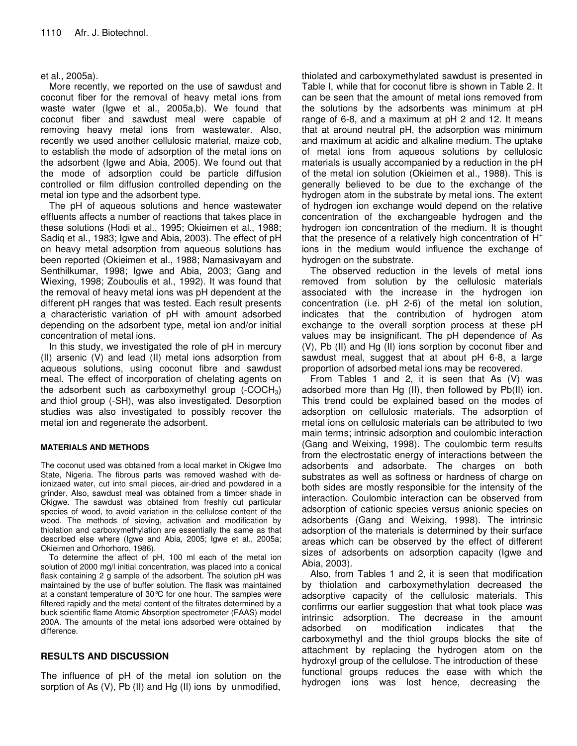## et al., 2005a).

More recently, we reported on the use of sawdust and coconut fiber for the removal of heavy metal ions from waste water (Igwe et al., 2005a,b). We found that coconut fiber and sawdust meal were capable of removing heavy metal ions from wastewater. Also, recently we used another cellulosic material, maize cob, to establish the mode of adsorption of the metal ions on the adsorbent (Igwe and Abia, 2005). We found out that the mode of adsorption could be particle diffusion controlled or film diffusion controlled depending on the metal ion type and the adsorbent type.

The pH of aqueous solutions and hence wastewater effluents affects a number of reactions that takes place in these solutions (Hodi et al., 1995; Okieimen et al., 1988; Sadiq et al., 1983; Igwe and Abia, 2003). The effect of pH on heavy metal adsorption from aqueous solutions has been reported (Okieimen et al., 1988; Namasivayam and Senthilkumar, 1998; Igwe and Abia, 2003; Gang and Wiexing, 1998; Zouboulis et al., 1992). It was found that the removal of heavy metal ions was pH dependent at the different pH ranges that was tested. Each result presents a characteristic variation of pH with amount adsorbed depending on the adsorbent type, metal ion and/or initial concentration of metal ions.

In this study, we investigated the role of pH in mercury (II) arsenic (V) and lead (II) metal ions adsorption from aqueous solutions, using coconut fibre and sawdust meal. The effect of incorporation of chelating agents on the adsorbent such as carboxymethyl group  $(-COCH<sub>3</sub>)$ and thiol group (-SH), was also investigated. Desorption studies was also investigated to possibly recover the metal ion and regenerate the adsorbent.

### **MATERIALS AND METHODS**

The coconut used was obtained from a local market in Okigwe Imo State, Nigeria. The fibrous parts was removed washed with deionizaed water, cut into small pieces, air-dried and powdered in a grinder. Also, sawdust meal was obtained from a timber shade in Okigwe. The sawdust was obtained from freshly cut particular species of wood, to avoid variation in the cellulose content of the wood. The methods of sieving, activation and modification by thiolation and carboxymethylation are essentially the same as that described else where (Igwe and Abia, 2005; Igwe et al., 2005a; Okieimen and Orhorhoro, 1986).

To determine the affect of pH, 100 ml each of the metal ion solution of 2000 mg/l initial concentration, was placed into a conical flask containing 2 g sample of the adsorbent. The solution pH was maintained by the use of buffer solution. The flask was maintained at a constant temperature of 30°C for one hour. The samples were filtered rapidly and the metal content of the filtrates determined by a buck scientific flame Atomic Absorption spectrometer (FAAS) model 200A. The amounts of the metal ions adsorbed were obtained by difference.

## **RESULTS AND DISCUSSION**

The influence of pH of the metal ion solution on the sorption of As (V), Pb (II) and Hg (II) ions by unmodified,

thiolated and carboxymethylated sawdust is presented in Table I, while that for coconut fibre is shown in Table 2. It can be seen that the amount of metal ions removed from the solutions by the adsorbents was minimum at pH range of 6-8, and a maximum at pH 2 and 12. It means that at around neutral pH, the adsorption was minimum and maximum at acidic and alkaline medium. The uptake of metal ions from aqueous solutions by cellulosic materials is usually accompanied by a reduction in the pH of the metal ion solution (Okieimen et al., 1988). This is generally believed to be due to the exchange of the hydrogen atom in the substrate by metal ions. The extent of hydrogen ion exchange would depend on the relative concentration of the exchangeable hydrogen and the hydrogen ion concentration of the medium. It is thought that the presence of a relatively high concentration of  $H^*$ ions in the medium would influence the exchange of hydrogen on the substrate.

The observed reduction in the levels of metal ions removed from solution by the cellulosic materials associated with the increase in the hydrogen ion concentration (i.e. pH 2-6) of the metal ion solution, indicates that the contribution of hydrogen atom exchange to the overall sorption process at these pH values may be insignificant. The pH dependence of As (V), Pb (II) and Hg (II) ions sorption by coconut fiber and sawdust meal, suggest that at about pH 6-8, a large proportion of adsorbed metal ions may be recovered.

From Tables 1 and 2, it is seen that As (V) was adsorbed more than Hg (II), then followed by Pb(II) ion. This trend could be explained based on the modes of adsorption on cellulosic materials. The adsorption of metal ions on cellulosic materials can be attributed to two main terms; intrinsic adsorption and coulombic interaction (Gang and Weixing, 1998). The coulombic term results from the electrostatic energy of interactions between the adsorbents and adsorbate. The charges on both substrates as well as softness or hardness of charge on both sides are mostly responsible for the intensity of the interaction. Coulombic interaction can be observed from adsorption of cationic species versus anionic species on adsorbents (Gang and Weixing, 1998). The intrinsic adsorption of the materials is determined by their surface areas which can be observed by the effect of different sizes of adsorbents on adsorption capacity (Igwe and Abia, 2003).

Also, from Tables 1 and 2, it is seen that modification by thiolation and carboxymethylation decreased the adsorptive capacity of the cellulosic materials. This confirms our earlier suggestion that what took place was intrinsic adsorption. The decrease in the amount adsorbed on modification indicates that the carboxymethyl and the thiol groups blocks the site of attachment by replacing the hydrogen atom on the hydroxyl group of the cellulose. The introduction of these functional groups reduces the ease with which the hydrogen ions was lost hence, decreasing the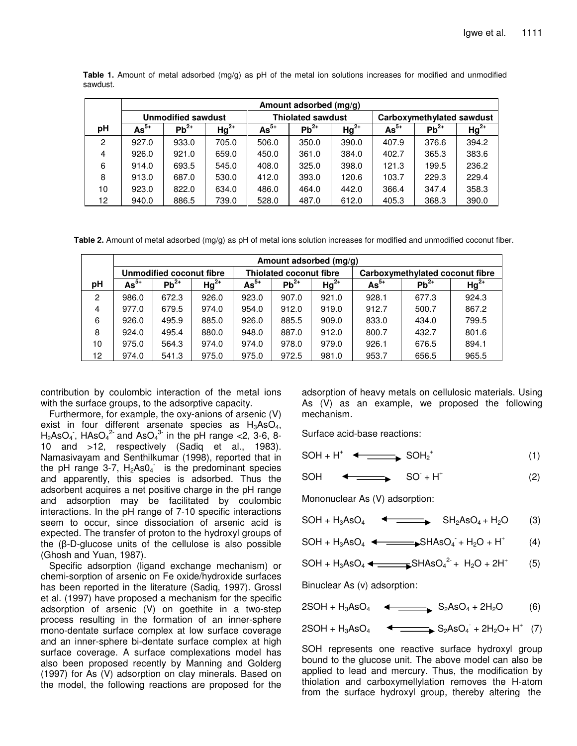|    | Amount adsorbed (mg/g)    |           |           |                    |                          |           |                           |           |           |  |  |
|----|---------------------------|-----------|-----------|--------------------|--------------------------|-----------|---------------------------|-----------|-----------|--|--|
|    | <b>Unmodified sawdust</b> |           |           |                    | <b>Thiolated sawdust</b> |           | Carboxymethylated sawdust |           |           |  |  |
| рH | $\mathsf{As}^{5+}$        | $Pb^{2+}$ | $Hg^{2+}$ | $\mathsf{As}^{5+}$ | $Pb^{2+}$                | $Hg^{2+}$ | $\mathsf{As}^{5+}$        | $Pb^{2+}$ | $Hg^{2+}$ |  |  |
| 2  | 927.0                     | 933.0     | 705.0     | 506.0              | 350.0                    | 390.0     | 407.9                     | 376.6     | 394.2     |  |  |
| 4  | 926.0                     | 921.0     | 659.0     | 450.0              | 361.0                    | 384.0     | 402.7                     | 365.3     | 383.6     |  |  |
| 6  | 914.0                     | 693.5     | 545.0     | 408.0              | 325.0                    | 398.0     | 121.3                     | 199.5     | 236.2     |  |  |
| 8  | 913.0                     | 687.0     | 530.0     | 412.0              | 393.0                    | 120.6     | 103.7                     | 229.3     | 229.4     |  |  |
| 10 | 923.0                     | 822.0     | 634.0     | 486.0              | 464.0                    | 442.0     | 366.4                     | 347.4     | 358.3     |  |  |
| 12 | 940.0                     | 886.5     | 739.0     | 528.0              | 487.0                    | 612.0     | 405.3                     | 368.3     | 390.0     |  |  |

**Table 1.** Amount of metal adsorbed (mg/g) as pH of the metal ion solutions increases for modified and unmodified sawdust.

**Table 2.** Amount of metal adsorbed (mg/g) as pH of metal ions solution increases for modified and unmodified coconut fiber.

|    | Amount adsorbed (mg/g)          |           |           |                    |                                |           |                                 |           |           |  |
|----|---------------------------------|-----------|-----------|--------------------|--------------------------------|-----------|---------------------------------|-----------|-----------|--|
|    | <b>Unmodified coconut fibre</b> |           |           |                    | <b>Thiolated coconut fibre</b> |           | Carboxymethylated coconut fibre |           |           |  |
| рH | $\mathsf{As}^{5\texttt{+}}$     | $Pb^{2+}$ | $Hg^{2+}$ | $\mathsf{As}^{5+}$ | $Pb^{2+}$                      | $Hg^{2+}$ | $\mathsf{As}^{5+}$              | $Pb^{2+}$ | $Hg^{2+}$ |  |
| 2  | 986.0                           | 672.3     | 926.0     | 923.0              | 907.0                          | 921.0     | 928.1                           | 677.3     | 924.3     |  |
| 4  | 977.0                           | 679.5     | 974.0     | 954.0              | 912.0                          | 919.0     | 912.7                           | 500.7     | 867.2     |  |
| 6  | 926.0                           | 495.9     | 885.0     | 926.0              | 885.5                          | 909.0     | 833.0                           | 434.0     | 799.5     |  |
| 8  | 924.0                           | 495.4     | 880.0     | 948.0              | 887.0                          | 912.0     | 800.7                           | 432.7     | 801.6     |  |
| 10 | 975.0                           | 564.3     | 974.0     | 974.0              | 978.0                          | 979.0     | 926.1                           | 676.5     | 894.1     |  |
| 12 | 974.0                           | 541.3     | 975.0     | 975.0              | 972.5                          | 981.0     | 953.7                           | 656.5     | 965.5     |  |

contribution by coulombic interaction of the metal ions with the surface groups, to the adsorptive capacity.

Furthermore, for example, the oxy-anions of arsenic (V) exist in four different arsenate species as  $H_3ASO_4$ ,  $H_2$ AsO<sub>4</sub>, HAsO<sub>4</sub><sup>2</sup> and AsO<sub>4</sub><sup>3</sup> in the pH range <2, 3-6, 8-10 and >12, respectively (Sadiq et al., 1983). Namasivayam and Senthilkumar (1998), reported that in the pH range 3-7,  $H_2AsO<sub>4</sub>$  is the predominant species and apparently, this species is adsorbed. Thus the adsorbent acquires a net positive charge in the pH range and adsorption may be facilitated by coulombic interactions. In the pH range of 7-10 specific interactions seem to occur, since dissociation of arsenic acid is expected. The transfer of proton to the hydroxyl groups of the  $(\beta$ -D-glucose units of the cellulose is also possible (Ghosh and Yuan, 1987).

Specific adsorption (ligand exchange mechanism) or chemi-sorption of arsenic on Fe oxide/hydroxide surfaces has been reported in the literature (Sadiq, 1997). Grossl et al. (1997) have proposed a mechanism for the specific adsorption of arsenic (V) on goethite in a two-step process resulting in the formation of an inner-sphere mono-dentate surface complex at low surface coverage and an inner-sphere bi-dentate surface complex at high surface coverage. A surface complexations model has also been proposed recently by Manning and Golderg (1997) for As (V) adsorption on clay minerals. Based on the model, the following reactions are proposed for the adsorption of heavy metals on cellulosic materials. Using As (V) as an example, we proposed the following mechanism.

Surface acid-base reactions:

$$
SOH + H^+ \quad \longleftrightarrow \quad SOH_2^+ \tag{1}
$$

$$
SOH \qquad \qquad \Longleftarrow \qquad \qquad SO^+H^+ \tag{2}
$$

Mononuclear As (V) adsorption:

 $SOH + H_3ASO_4$   $\leftarrow$   $SH_2AsO_4 + H_2O$  (3)

$$
SOH + H_3ASO_4 \leftarrow \longrightarrow SHAsO_4 + H_2O + H^+ \tag{4}
$$

$$
SOH + H_3ASO_4 \longleftarrow
$$
 
$$
SHAsO_4^2 + H_2O + 2H^+ \qquad (5)
$$

Binuclear As (v) adsorption:

$$
2SOH + H_3ASO_4 \quad \longleftrightarrow \quad S_2ASO_4 + 2H_2O \tag{6}
$$

$$
2SOH + H_3ASO_4 \quad \longrightarrow S_2ASO_4 + 2H_2O + H^+ \quad (7)
$$

SOH represents one reactive surface hydroxyl group bound to the glucose unit. The above model can also be applied to lead and mercury. Thus, the modification by thiolation and carboxymellylation removes the H-atom from the surface hydroxyl group, thereby altering the